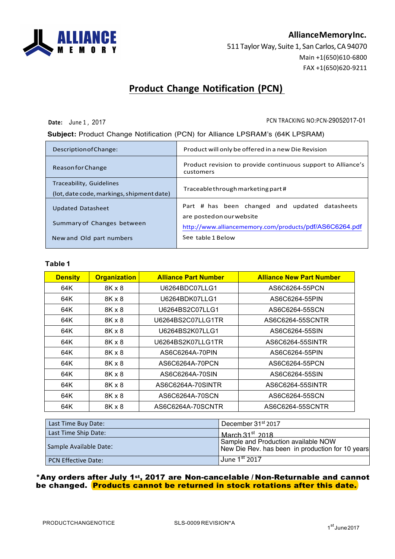

### **AllianceMemoryInc.**

511 Taylor Way, Suite 1, San Carlos, CA 94070 Main +1(650)610-6800 FAX +1(650)620-9211

### **Product Change Notification (PCN)**

**Date:** June 1 , 2017 20052017

#### **Subject:** Product Change Notification (PCN) for Alliance LPSRAM's (64K LPSRAM)

| Description of Change:                                                | Product will only be offered in a new Die Revision                          |  |  |  |  |
|-----------------------------------------------------------------------|-----------------------------------------------------------------------------|--|--|--|--|
| Reason for Change                                                     | Product revision to provide continuous support to Alliance's<br>customers   |  |  |  |  |
| Traceability, Guidelines<br>(lot, date code, markings, shipment date) | Traceable through marketing part#                                           |  |  |  |  |
| <b>Updated Datasheet</b>                                              | Part # has been changed and updated datasheets<br>are posted on our website |  |  |  |  |
| Summary of Changes between                                            | http://www.alliancememory.com/products/pdf/AS6C6264.pdf                     |  |  |  |  |
| New and Old part numbers                                              | See table 1 Below                                                           |  |  |  |  |

#### **Table 1**

| <b>Density</b> | <b>Organization</b> | <b>Alliance Part Number</b> | <b>Alliance New Part Number</b> |
|----------------|---------------------|-----------------------------|---------------------------------|
| 64K            | $8K \times 8$       | U6264BDC07LLG1              | AS6C6264-55PCN                  |
| 64K            | $8K \times 8$       | U6264BDK07LLG1              | AS6C6264-55PIN                  |
| 64K            | 8K x 8              | U6264BS2C07LLG1             | AS6C6264-55SCN                  |
| 64K            | 8K x 8              | U6264BS2C07LLG1TR           | AS6C6264-55SCNTR                |
| 64K            | 8K x 8              | U6264BS2K07LLG1             | AS6C6264-55SIN                  |
| 64K            | 8K x 8              | U6264BS2K07LLG1TR           | AS6C6264-55SINTR                |
| 64K            | $8K \times 8$       | AS6C6264A-70PIN             | AS6C6264-55PIN                  |
| 64K            | 8K x 8              | AS6C6264A-70PCN             | AS6C6264-55PCN                  |
| 64K            | 8K x 8              | AS6C6264A-70SIN             | AS6C6264-55SIN                  |
| 64K            | 8K x 8              | AS6C6264A-70SINTR           | AS6C6264-55SINTR                |
| 64K            | 8K x 8              | AS6C6264A-70SCN             | AS6C6264-55SCN                  |
| 64K            | $8K \times 8$       | AS6C6264A-70SCNTR           | AS6C6264-55SCNTR                |

| Last Time Buy Date:    | December 31 <sup>st</sup> 2017                                                          |
|------------------------|-----------------------------------------------------------------------------------------|
| Last Time Ship Date:   | March $31st$ 2018                                                                       |
| Sample Available Date: | Sample and Production available NOW<br>New Die Rev. has been in production for 10 years |
| PCN Effective Date:    | June $1st$ 2017                                                                         |

#### \*Any orders after July 1st, 2017 are Non-cancelable / Non-Returnable and cannot be changed. Products cannot be returned in stock rotations after this date.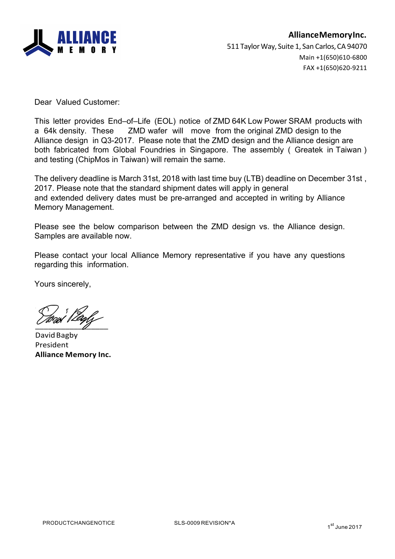

Dear Valued Customer:

This letter provides End–of–Life (EOL) notice of ZMD 64K Low Power SRAM products with a 64k density. These ZMD wafer will move from the original ZMD design to the Alliance design in Q3-2017. Please note that the ZMD design and the Alliance design are both fabricated from Global Foundries in Singapore. The assembly ( Greatek in Taiwan ) and testing (ChipMos in Taiwan) will remain the same.

The delivery deadline is March 31st, 2018 with last time buy (LTB) deadline on December 31st , 2017. Please note that the standard shipment dates will apply in general and extended delivery dates must be pre-arranged and accepted in writing by Alliance Memory Management.

Please see the below comparison between the ZMD design vs. the Alliance design. Samples are available now.

Please contact your local Alliance Memory representative if you have any questions regarding this information.

Yours sincerely,

 $\frac{1}{2}$ 

David Bagby President **Alliance Memory Inc.**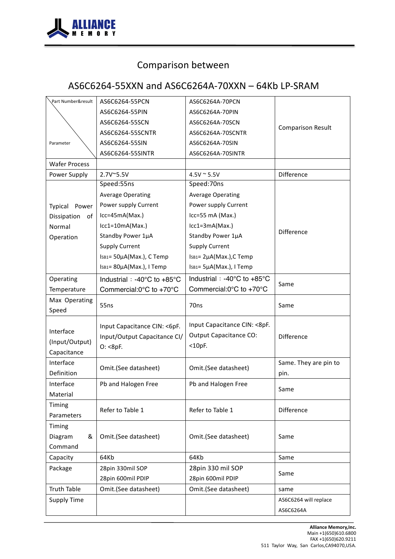

# Comparison between

### AS6C6264-55XXN and AS6C6264A-70XXN - 64Kb LP-SRAM

| Part Number&result                             | AS6C6264-55PCN                                    | AS6C6264A-70PCN                                   |                          |  |  |
|------------------------------------------------|---------------------------------------------------|---------------------------------------------------|--------------------------|--|--|
|                                                | AS6C6264-55PIN                                    | AS6C6264A-70PIN                                   |                          |  |  |
|                                                | AS6C6264-55SCN                                    | AS6C6264A-70SCN                                   |                          |  |  |
|                                                | AS6C6264-55SCNTR                                  | AS6C6264A-70SCNTR                                 | <b>Comparison Result</b> |  |  |
| Parameter                                      | AS6C6264-55SIN                                    | AS6C6264A-70SIN                                   |                          |  |  |
|                                                | AS6C6264-55SINTR                                  | AS6C6264A-70SINTR                                 |                          |  |  |
| <b>Wafer Process</b>                           |                                                   |                                                   |                          |  |  |
| Power Supply                                   | 2.7V~5.5V                                         | $4.5V \sim 5.5V$                                  | Difference               |  |  |
|                                                | Speed:55ns                                        | Speed:70ns                                        |                          |  |  |
|                                                | <b>Average Operating</b>                          | <b>Average Operating</b>                          |                          |  |  |
| Typical<br>Power                               | Power supply Current                              | Power supply Current                              |                          |  |  |
| Dissipation<br>of                              | $lcc = 45mA(Max.)$                                | Icc=55 mA (Max.)                                  |                          |  |  |
| Normal                                         | $lcc1=10mA(Max.)$                                 | $lcc1=3mA(Max.)$                                  |                          |  |  |
| Operation                                      | Standby Power 1µA                                 | Standby Power 1µA                                 | <b>Difference</b>        |  |  |
|                                                | <b>Supply Current</b>                             | <b>Supply Current</b>                             |                          |  |  |
|                                                | IsB1= 50µA(Max.), C Temp                          | ISB1= 2µA(Max.), C Temp                           |                          |  |  |
|                                                | ISB1= 80µA(Max.), I Temp                          | ISB1= 5µA(Max.), I Temp                           |                          |  |  |
| Operating                                      | Industrial : -40 $^{\circ}$ C to +85 $^{\circ}$ C | Industrial : -40 $^{\circ}$ C to +85 $^{\circ}$ C |                          |  |  |
| Temperature                                    | Commercial: $0^{\circ}$ C to +70 $^{\circ}$ C     | Commercial: $0^{\circ}$ C to +70 $^{\circ}$ C     | Same                     |  |  |
| Max Operating                                  |                                                   |                                                   |                          |  |  |
| Speed                                          | 55ns                                              | 70ns                                              | Same                     |  |  |
|                                                |                                                   | Input Capacitance CIN: <8pF.                      |                          |  |  |
| Interface                                      | Input Capacitance CIN: <6pF.                      | <b>Output Capacitance CO:</b>                     |                          |  |  |
| Input/Output Capacitance CI/<br>(Input/Output) |                                                   | $<$ 10pF.                                         | <b>Difference</b>        |  |  |
| Capacitance                                    | O: <8pF.                                          |                                                   |                          |  |  |
| Interface                                      |                                                   |                                                   | Same. They are pin to    |  |  |
| Definition                                     | Omit.(See datasheet)                              | Omit.(See datasheet)                              | pin.                     |  |  |
| Interface                                      | Pb and Halogen Free                               | Pb and Halogen Free                               |                          |  |  |
| Material                                       |                                                   |                                                   | Same                     |  |  |
| Timing                                         | Refer to Table 1                                  | Refer to Table 1                                  | Difference               |  |  |
| Parameters                                     |                                                   |                                                   |                          |  |  |
| Timing                                         |                                                   |                                                   |                          |  |  |
| Diagram<br>&                                   | Omit.(See datasheet)                              | Omit.(See datasheet)                              | Same                     |  |  |
| Command                                        |                                                   |                                                   |                          |  |  |
| Capacity                                       | 64Kb                                              | 64Kb                                              | Same                     |  |  |
| Package                                        | 28pin 330mil SOP                                  | 28pin 330 mil SOP                                 |                          |  |  |
|                                                | 28pin 600mil PDIP                                 | 28pin 600mil PDIP                                 | Same                     |  |  |
| <b>Truth Table</b>                             | Omit.(See datasheet)                              | Omit.(See datasheet)                              | same                     |  |  |
| <b>Supply Time</b>                             |                                                   |                                                   | AS6C6264 will replace    |  |  |
|                                                |                                                   |                                                   | AS6C6264A                |  |  |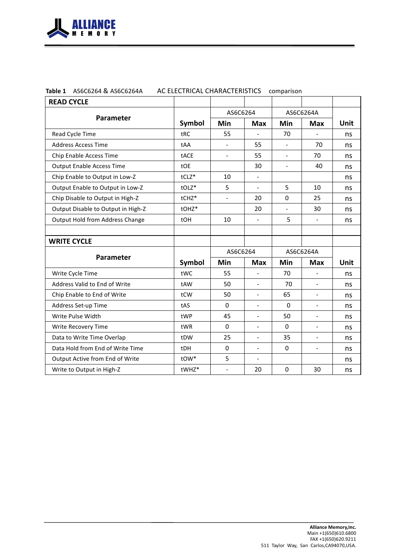

| Table 1 AS6C6264 & AS6C6264A<br>AC ELECTRICAL CHARACTERISTICS comparison |  |
|--------------------------------------------------------------------------|--|
|--------------------------------------------------------------------------|--|

| <b>READ CYCLE</b>                  |         |                |                          |                          |                          |      |
|------------------------------------|---------|----------------|--------------------------|--------------------------|--------------------------|------|
|                                    |         | AS6C6264       |                          | AS6C6264A                |                          |      |
| <b>Parameter</b>                   | Symbol  | Min            | <b>Max</b>               | Min                      | <b>Max</b>               | Unit |
| Read Cycle Time                    | tRC     | 55             |                          | 70                       |                          | ns   |
| <b>Address Access Time</b>         | tAA     | $\overline{a}$ | 55                       | $\overline{a}$           | 70                       | ns   |
| Chip Enable Access Time            | tACE    | $\blacksquare$ | 55                       | $\overline{\phantom{0}}$ | 70                       | ns   |
| <b>Output Enable Access Time</b>   | tOE     |                | 30                       | $\blacksquare$           | 40                       | ns   |
| Chip Enable to Output in Low-Z     | $tCLZ*$ | 10             | $\blacksquare$           |                          |                          | ns   |
| Output Enable to Output in Low-Z   | tOLZ*   | 5              | $\blacksquare$           | 5                        | 10                       | ns   |
| Chip Disable to Output in High-Z   | tCHZ*   | $\blacksquare$ | 20                       | 0                        | 25                       | ns   |
| Output Disable to Output in High-Z | tOHZ*   |                | 20                       | $\blacksquare$           | 30                       | ns   |
| Output Hold from Address Change    | tOH     | 10             |                          | 5                        | $\overline{\phantom{a}}$ | ns   |
|                                    |         |                |                          |                          |                          |      |
| <b>WRITE CYCLE</b>                 |         |                |                          |                          |                          |      |
|                                    |         | AS6C6264       |                          | AS6C6264A                |                          |      |
| <b>Parameter</b>                   | Symbol  | Min            | <b>Max</b>               | Min                      | <b>Max</b>               | Unit |
| Write Cycle Time                   | tWC     | 55             | $\frac{1}{2}$            | 70                       | $\overline{\phantom{a}}$ | ns   |
| Address Valid to End of Write      | tAW     | 50             | $\blacksquare$           | 70                       | $\blacksquare$           | ns   |
| Chip Enable to End of Write        | tCW     | 50             | $\blacksquare$           | 65                       | $\blacksquare$           | ns   |
| Address Set-up Time                | tAS     | $\mathbf 0$    | $\overline{\phantom{a}}$ | $\mathbf{0}$             | $\overline{\phantom{a}}$ | ns   |
| Write Pulse Width                  | tWP     | 45             | $\blacksquare$           | 50                       | $\blacksquare$           | ns   |
| Write Recovery Time                | tWR     | $\Omega$       | $\blacksquare$           | 0                        | $\blacksquare$           | ns   |
| Data to Write Time Overlap         | tDW     | 25             | $\overline{a}$           | 35                       | $\overline{\phantom{0}}$ | ns   |
| Data Hold from End of Write Time   | tDH     | $\mathbf 0$    | $\blacksquare$           | 0                        | $\frac{1}{2}$            | ns   |
| Output Active from End of Write    | tOW*    | 5              | $\blacksquare$           |                          |                          | ns   |
| Write to Output in High-Z          |         |                |                          |                          |                          |      |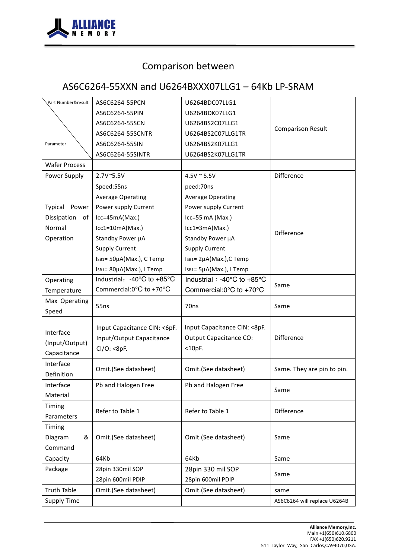

# Comparison between

### AS6C6264-55XXN and U6264BXXX07LLG1 - 64Kb LP-SRAM

| Part Number&result   | AS6C6264-55PCN                | U6264BDC07LLG1                                |                              |  |  |
|----------------------|-------------------------------|-----------------------------------------------|------------------------------|--|--|
|                      | AS6C6264-55PIN                | U6264BDK07LLG1                                |                              |  |  |
|                      | AS6C6264-55SCN                | U6264BS2C07LLG1                               |                              |  |  |
|                      | AS6C6264-55SCNTR              | U6264BS2C07LLG1TR                             | <b>Comparison Result</b>     |  |  |
| Parameter            | AS6C6264-55SIN                | U6264BS2K07LLG1                               |                              |  |  |
|                      | AS6C6264-55SINTR              | U6264BS2K07LLG1TR                             |                              |  |  |
| <b>Wafer Process</b> |                               |                                               |                              |  |  |
| Power Supply         | 2.7V~5.5V                     | $4.5V \approx 5.5V$                           | Difference                   |  |  |
|                      | Speed:55ns                    | peed:70ns                                     |                              |  |  |
|                      | <b>Average Operating</b>      | <b>Average Operating</b>                      |                              |  |  |
| Typical Power        | Power supply Current          | Power supply Current                          |                              |  |  |
| Dissipation of       | Icc=45mA(Max.)                | Icc=55 mA (Max.)                              |                              |  |  |
| Normal               | $lcc1=10mA(Max.)$             | $lcc1=3mA(Max.)$                              |                              |  |  |
| Operation            | Standby Power µA              | Standby Power µA                              | <b>Difference</b>            |  |  |
|                      | <b>Supply Current</b>         | <b>Supply Current</b>                         |                              |  |  |
|                      | IsB1= 50µA(Max.), C Temp      | ISB1= 2µA(Max.), C Temp                       |                              |  |  |
|                      | ISB1= 80µA(Max.), I Temp      | ISB1= 5µA(Max.), I Temp                       |                              |  |  |
| Operating            | Industrial: -40°C to +85°C    | Industrial: -40°C to +85°C                    |                              |  |  |
| Temperature          | Commercial:0°C to +70°C       | Commercial: $0^{\circ}$ C to +70 $^{\circ}$ C | Same                         |  |  |
| Max Operating        |                               | 70ns                                          |                              |  |  |
| Speed                | 55ns                          |                                               | Same                         |  |  |
|                      |                               | Input Capacitance CIN: < 8pF.                 |                              |  |  |
| Interface            | Input Capacitance CIN: < 6pF. | <b>Output Capacitance CO:</b>                 | <b>Difference</b>            |  |  |
| (Input/Output)       | Input/Output Capacitance      | $<$ 10pF.                                     |                              |  |  |
| Capacitance          | $Cl/O$ : <8pF.                |                                               |                              |  |  |
| Interface            | Omit.(See datasheet)          | Omit.(See datasheet)                          | Same. They are pin to pin.   |  |  |
| Definition           |                               |                                               |                              |  |  |
| Interface            | Pb and Halogen Free           | Pb and Halogen Free                           | Same                         |  |  |
| Material             |                               |                                               |                              |  |  |
| Timing               | Refer to Table 1              | Refer to Table 1                              | Difference                   |  |  |
| Parameters           |                               |                                               |                              |  |  |
| Timing               |                               |                                               |                              |  |  |
| &<br>Diagram         | Omit.(See datasheet)          | Omit.(See datasheet)                          | Same                         |  |  |
| Command              |                               |                                               |                              |  |  |
| Capacity             | 64Kb                          | 64Kb                                          | Same                         |  |  |
| Package              | 28pin 330mil SOP              | 28pin 330 mil SOP                             | Same                         |  |  |
|                      | 28pin 600mil PDIP             | 28pin 600mil PDIP                             |                              |  |  |
| <b>Truth Table</b>   | Omit.(See datasheet)          | Omit.(See datasheet)                          | same                         |  |  |
| <b>Supply Time</b>   |                               |                                               | AS6C6264 will replace U6264B |  |  |